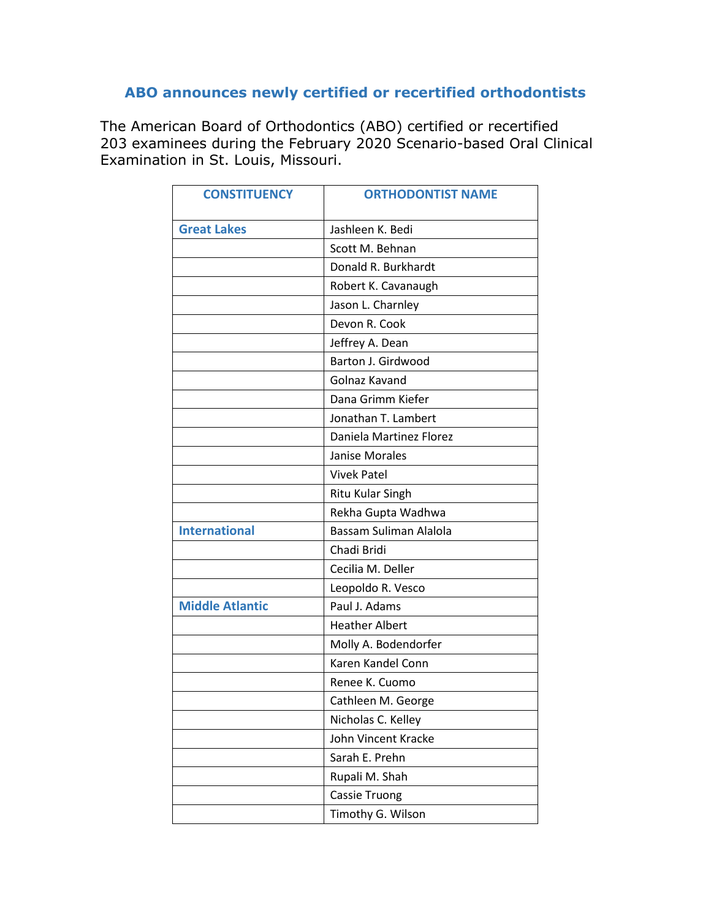## **ABO announces newly certified or recertified orthodontists**

The American Board of Orthodontics (ABO) certified or recertified 203 examinees during the February 2020 Scenario-based Oral Clinical Examination in St. Louis, Missouri.

| <b>CONSTITUENCY</b>    | <b>ORTHODONTIST NAME</b> |
|------------------------|--------------------------|
| <b>Great Lakes</b>     | Jashleen K. Bedi         |
|                        | Scott M. Behnan          |
|                        | Donald R. Burkhardt      |
|                        | Robert K. Cavanaugh      |
|                        | Jason L. Charnley        |
|                        | Devon R. Cook            |
|                        | Jeffrey A. Dean          |
|                        | Barton J. Girdwood       |
|                        | Golnaz Kavand            |
|                        | Dana Grimm Kiefer        |
|                        | Jonathan T. Lambert      |
|                        | Daniela Martinez Florez  |
|                        | Janise Morales           |
|                        | <b>Vivek Patel</b>       |
|                        | Ritu Kular Singh         |
|                        | Rekha Gupta Wadhwa       |
| <b>International</b>   | Bassam Suliman Alalola   |
|                        | Chadi Bridi              |
|                        | Cecilia M. Deller        |
|                        | Leopoldo R. Vesco        |
| <b>Middle Atlantic</b> | Paul J. Adams            |
|                        | <b>Heather Albert</b>    |
|                        | Molly A. Bodendorfer     |
|                        | Karen Kandel Conn        |
|                        | Renee K. Cuomo           |
|                        | Cathleen M. George       |
|                        | Nicholas C. Kelley       |
|                        | John Vincent Kracke      |
|                        | Sarah E. Prehn           |
|                        | Rupali M. Shah           |
|                        | <b>Cassie Truong</b>     |
|                        | Timothy G. Wilson        |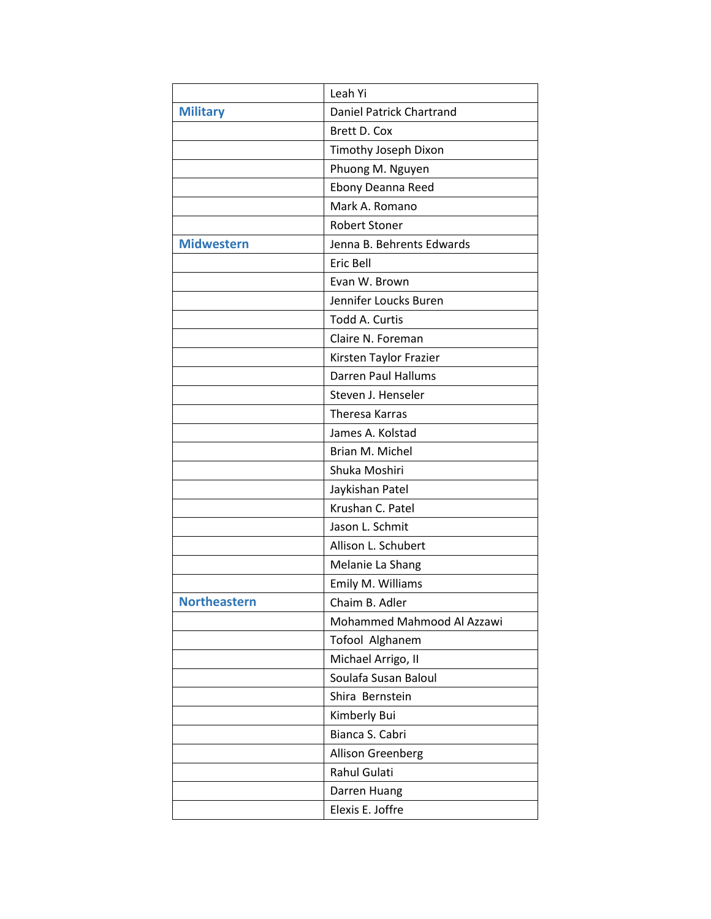|                     | Leah Yi                    |
|---------------------|----------------------------|
| <b>Military</b>     | Daniel Patrick Chartrand   |
|                     | Brett D. Cox               |
|                     | Timothy Joseph Dixon       |
|                     | Phuong M. Nguyen           |
|                     | Ebony Deanna Reed          |
|                     | Mark A. Romano             |
|                     | <b>Robert Stoner</b>       |
| <b>Midwestern</b>   | Jenna B. Behrents Edwards  |
|                     | Eric Bell                  |
|                     | Evan W. Brown              |
|                     | Jennifer Loucks Buren      |
|                     | Todd A. Curtis             |
|                     | Claire N. Foreman          |
|                     | Kirsten Taylor Frazier     |
|                     | <b>Darren Paul Hallums</b> |
|                     | Steven J. Henseler         |
|                     | <b>Theresa Karras</b>      |
|                     | James A. Kolstad           |
|                     | Brian M. Michel            |
|                     | Shuka Moshiri              |
|                     | Jaykishan Patel            |
|                     | Krushan C. Patel           |
|                     | Jason L. Schmit            |
|                     | Allison L. Schubert        |
|                     | Melanie La Shang           |
|                     | Emily M. Williams          |
| <b>Northeastern</b> | Chaim B. Adler             |
|                     | Mohammed Mahmood Al Azzawi |
|                     | Tofool Alghanem            |
|                     | Michael Arrigo, II         |
|                     | Soulafa Susan Baloul       |
|                     | Shira Bernstein            |
|                     | Kimberly Bui               |
|                     | Bianca S. Cabri            |
|                     | Allison Greenberg          |
|                     | Rahul Gulati               |
|                     | Darren Huang               |
|                     | Elexis E. Joffre           |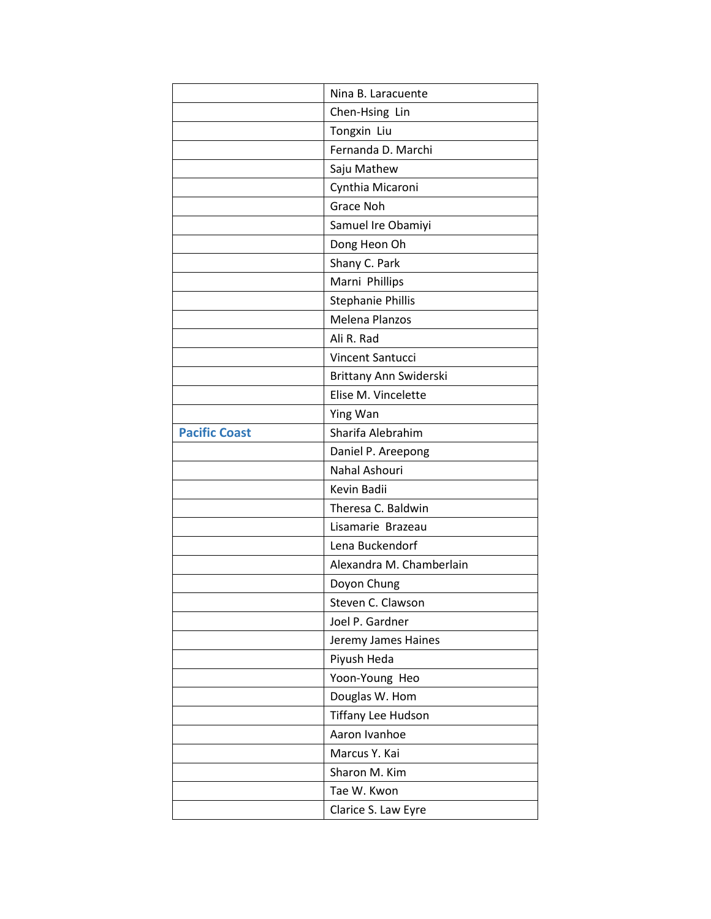|                      | Nina B. Laracuente        |
|----------------------|---------------------------|
|                      | Chen-Hsing Lin            |
|                      | Tongxin Liu               |
|                      | Fernanda D. Marchi        |
|                      | Saju Mathew               |
|                      | Cynthia Micaroni          |
|                      | Grace Noh                 |
|                      | Samuel Ire Obamiyi        |
|                      | Dong Heon Oh              |
|                      | Shany C. Park             |
|                      | Marni Phillips            |
|                      | <b>Stephanie Phillis</b>  |
|                      | Melena Planzos            |
|                      | Ali R. Rad                |
|                      | Vincent Santucci          |
|                      | Brittany Ann Swiderski    |
|                      | Elise M. Vincelette       |
|                      | Ying Wan                  |
| <b>Pacific Coast</b> | Sharifa Alebrahim         |
|                      | Daniel P. Areepong        |
|                      | Nahal Ashouri             |
|                      | Kevin Badii               |
|                      | Theresa C. Baldwin        |
|                      | Lisamarie Brazeau         |
|                      | Lena Buckendorf           |
|                      | Alexandra M. Chamberlain  |
|                      |                           |
|                      | Doyon Chung               |
|                      | Steven C. Clawson         |
|                      | Joel P. Gardner           |
|                      | Jeremy James Haines       |
|                      | Piyush Heda               |
|                      | Yoon-Young Heo            |
|                      | Douglas W. Hom            |
|                      | <b>Tiffany Lee Hudson</b> |
|                      | Aaron Ivanhoe             |
|                      | Marcus Y. Kai             |
|                      | Sharon M. Kim             |
|                      | Tae W. Kwon               |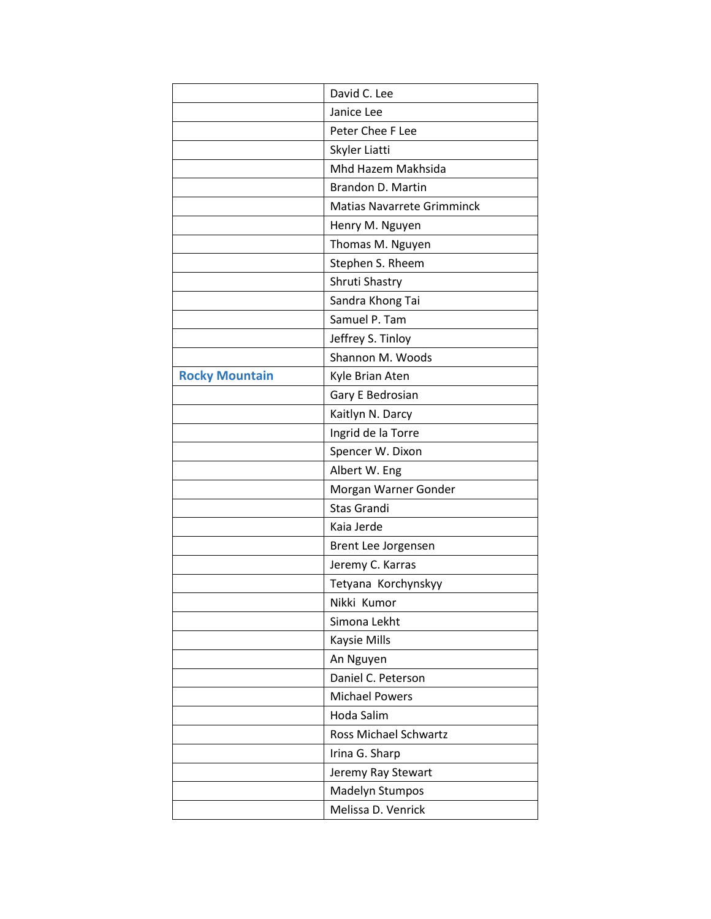|                       | David C. Lee                      |
|-----------------------|-----------------------------------|
|                       | Janice Lee                        |
|                       | Peter Chee F Lee                  |
|                       | Skyler Liatti                     |
|                       | Mhd Hazem Makhsida                |
|                       | Brandon D. Martin                 |
|                       | <b>Matias Navarrete Grimminck</b> |
|                       | Henry M. Nguyen                   |
|                       | Thomas M. Nguyen                  |
|                       | Stephen S. Rheem                  |
|                       | Shruti Shastry                    |
|                       | Sandra Khong Tai                  |
|                       | Samuel P. Tam                     |
|                       | Jeffrey S. Tinloy                 |
|                       | Shannon M. Woods                  |
| <b>Rocky Mountain</b> | Kyle Brian Aten                   |
|                       | Gary E Bedrosian                  |
|                       | Kaitlyn N. Darcy                  |
|                       | Ingrid de la Torre                |
|                       | Spencer W. Dixon                  |
|                       | Albert W. Eng                     |
|                       | Morgan Warner Gonder              |
|                       | <b>Stas Grandi</b>                |
|                       | Kaia Jerde                        |
|                       | Brent Lee Jorgensen               |
|                       | Jeremy C. Karras                  |
|                       | Tetyana Korchynskyy               |
|                       | Nikki Kumor                       |
|                       | Simona Lekht                      |
|                       | Kaysie Mills                      |
|                       | An Nguyen                         |
|                       | Daniel C. Peterson                |
|                       | <b>Michael Powers</b>             |
|                       | Hoda Salim                        |
|                       | <b>Ross Michael Schwartz</b>      |
|                       | Irina G. Sharp                    |
|                       | Jeremy Ray Stewart                |
|                       | Madelyn Stumpos                   |
|                       | Melissa D. Venrick                |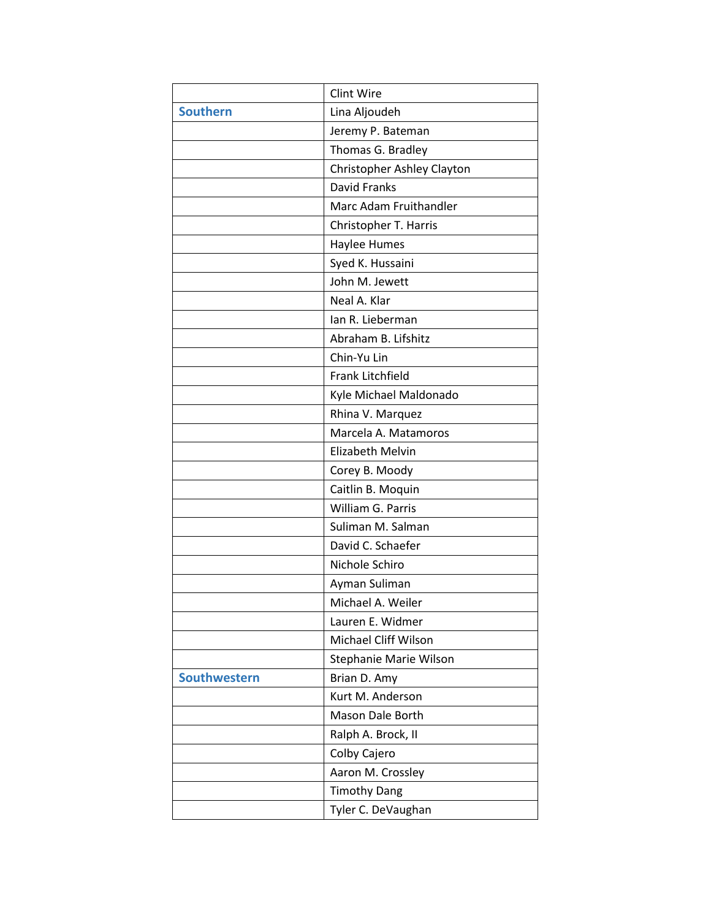|                     | Clint Wire                 |
|---------------------|----------------------------|
| <b>Southern</b>     | Lina Aljoudeh              |
|                     | Jeremy P. Bateman          |
|                     | Thomas G. Bradley          |
|                     | Christopher Ashley Clayton |
|                     | David Franks               |
|                     | Marc Adam Fruithandler     |
|                     | Christopher T. Harris      |
|                     | Haylee Humes               |
|                     | Syed K. Hussaini           |
|                     | John M. Jewett             |
|                     | Neal A. Klar               |
|                     | Ian R. Lieberman           |
|                     | Abraham B. Lifshitz        |
|                     | Chin-Yu Lin                |
|                     | Frank Litchfield           |
|                     | Kyle Michael Maldonado     |
|                     | Rhina V. Marquez           |
|                     | Marcela A. Matamoros       |
|                     | Elizabeth Melvin           |
|                     | Corey B. Moody             |
|                     | Caitlin B. Moquin          |
|                     | William G. Parris          |
|                     | Suliman M. Salman          |
|                     | David C. Schaefer          |
|                     | Nichole Schiro             |
|                     | Ayman Suliman              |
|                     | Michael A. Weiler          |
|                     | Lauren E. Widmer           |
|                     | Michael Cliff Wilson       |
|                     | Stephanie Marie Wilson     |
| <b>Southwestern</b> | Brian D. Amy               |
|                     | Kurt M. Anderson           |
|                     | Mason Dale Borth           |
|                     | Ralph A. Brock, II         |
|                     | Colby Cajero               |
|                     | Aaron M. Crossley          |
|                     | <b>Timothy Dang</b>        |
|                     | Tyler C. DeVaughan         |